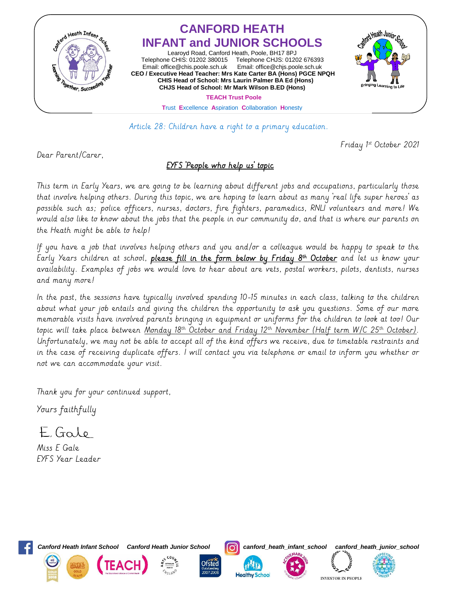

Article 28: Children have a right to a primary education.

Friday 1 st October 2021

Dear Parent/Carer,

## EYFS 'People who help us' topic

This term in Early Years, we are going to be learning about different jobs and occupations, particularly those that involve helping others. During this topic, we are hoping to learn about as many 'real life super heroes' as possible such as; police officers, nurses, doctors, fire fighters, paramedics, RNLI volunteers and more! We would also like to know about the jobs that the people in our community do, and that is where our parents on the Heath might be able to help!

If you have a job that involves helping others and you and/or a colleague would be happy to speak to the Larly Years children at school, <u>please fill in the form below by Friday 8<sup>m</sup> October</u> and let us know your availability. Examples of jobs we would love to hear about are vets, postal workers, pilots, dentists, nurses and many more!

In the past, the sessions have typically involved spending 10-15 minutes in each class, talking to the children about what your job entails and giving the children the opportunity to ask you questions. Some of our more memorable visits have involved parents bringing in equipment or uniforms for the children to look at too! Our topic will take place between Monday 18th October and Friday 12th November (Half term W/C 25th October). Unfortunately, we may not be able to accept all of the kind offers we receive, due to timetable restraints and in the case of receiving duplicate offers. I will contact you via telephone or email to inform you whether or not we can accommodate your visit.

Thank you for your continued support,

Yours faithfully

E Galo

Miss E Gale EYFS Year Leader



*Canford Heath Infant School Canford Heath Junior School canford\_heath\_infant\_school canford\_heath\_junior\_school*